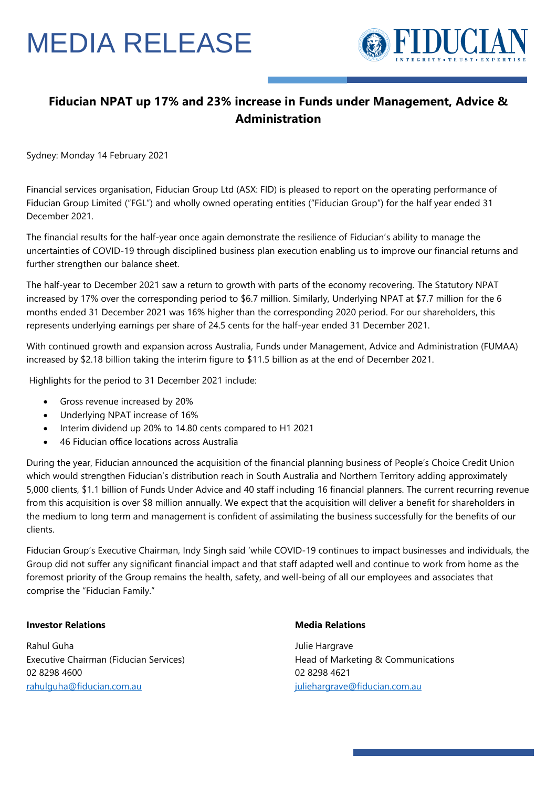# MEDIA RELEASE



### **Fiducian NPAT up 17% and 23% increase in Funds under Management, Advice & Administration**

Sydney: Monday 14 February 2021

Financial services organisation, Fiducian Group Ltd (ASX: FID) is pleased to report on the operating performance of Fiducian Group Limited ("FGL") and wholly owned operating entities ("Fiducian Group") for the half year ended 31 December 2021.

The financial results for the half-year once again demonstrate the resilience of Fiducian's ability to manage the uncertainties of COVID-19 through disciplined business plan execution enabling us to improve our financial returns and further strengthen our balance sheet.

The half-year to December 2021 saw a return to growth with parts of the economy recovering. The Statutory NPAT increased by 17% over the corresponding period to \$6.7 million. Similarly, Underlying NPAT at \$7.7 million for the 6 months ended 31 December 2021 was 16% higher than the corresponding 2020 period. For our shareholders, this represents underlying earnings per share of 24.5 cents for the half-year ended 31 December 2021.

With continued growth and expansion across Australia, Funds under Management, Advice and Administration (FUMAA) increased by \$2.18 billion taking the interim figure to \$11.5 billion as at the end of December 2021.

Highlights for the period to 31 December 2021 include:

- Gross revenue increased by 20%
- Underlying NPAT increase of 16%
- Interim dividend up 20% to 14.80 cents compared to H1 2021
- 46 Fiducian office locations across Australia

During the year, Fiducian announced the acquisition of the financial planning business of People's Choice Credit Union which would strengthen Fiducian's distribution reach in South Australia and Northern Territory adding approximately 5,000 clients, \$1.1 billion of Funds Under Advice and 40 staff including 16 financial planners. The current recurring revenue from this acquisition is over \$8 million annually. We expect that the acquisition will deliver a benefit for shareholders in the medium to long term and management is confident of assimilating the business successfully for the benefits of our clients.

Fiducian Group's Executive Chairman, Indy Singh said 'while COVID-19 continues to impact businesses and individuals, the Group did not suffer any significant financial impact and that staff adapted well and continue to work from home as the foremost priority of the Group remains the health, safety, and well-being of all our employees and associates that comprise the "Fiducian Family."

#### **Investor Relations**

Rahul Guha Executive Chairman (Fiducian Services) 02 8298 4600 [rahulguha@fiducian.com.au](mailto:rahulguha@fiducian.com.au)

#### **Media Relations**

Julie Hargrave Head of Marketing & Communications 02 8298 4621 [juliehargrave@fiducian.com.au](mailto:juliehargrave@fiducian.com.au)